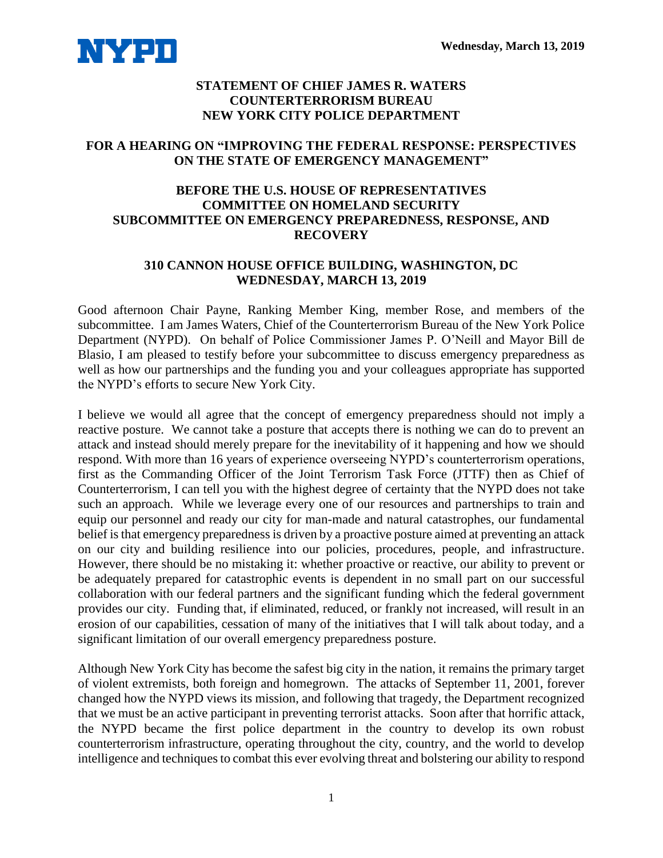

## **STATEMENT OF CHIEF JAMES R. WATERS COUNTERTERRORISM BUREAU NEW YORK CITY POLICE DEPARTMENT**

## **FOR A HEARING ON "IMPROVING THE FEDERAL RESPONSE: PERSPECTIVES ON THE STATE OF EMERGENCY MANAGEMENT"**

## **BEFORE THE U.S. HOUSE OF REPRESENTATIVES COMMITTEE ON HOMELAND SECURITY SUBCOMMITTEE ON EMERGENCY PREPAREDNESS, RESPONSE, AND RECOVERY**

## **310 CANNON HOUSE OFFICE BUILDING, WASHINGTON, DC WEDNESDAY, MARCH 13, 2019**

Good afternoon Chair Payne, Ranking Member King, member Rose, and members of the subcommittee. I am James Waters, Chief of the Counterterrorism Bureau of the New York Police Department (NYPD). On behalf of Police Commissioner James P. O'Neill and Mayor Bill de Blasio, I am pleased to testify before your subcommittee to discuss emergency preparedness as well as how our partnerships and the funding you and your colleagues appropriate has supported the NYPD's efforts to secure New York City.

I believe we would all agree that the concept of emergency preparedness should not imply a reactive posture. We cannot take a posture that accepts there is nothing we can do to prevent an attack and instead should merely prepare for the inevitability of it happening and how we should respond. With more than 16 years of experience overseeing NYPD's counterterrorism operations, first as the Commanding Officer of the Joint Terrorism Task Force (JTTF) then as Chief of Counterterrorism, I can tell you with the highest degree of certainty that the NYPD does not take such an approach. While we leverage every one of our resources and partnerships to train and equip our personnel and ready our city for man-made and natural catastrophes, our fundamental belief is that emergency preparedness is driven by a proactive posture aimed at preventing an attack on our city and building resilience into our policies, procedures, people, and infrastructure. However, there should be no mistaking it: whether proactive or reactive, our ability to prevent or be adequately prepared for catastrophic events is dependent in no small part on our successful collaboration with our federal partners and the significant funding which the federal government provides our city. Funding that, if eliminated, reduced, or frankly not increased, will result in an erosion of our capabilities, cessation of many of the initiatives that I will talk about today, and a significant limitation of our overall emergency preparedness posture.

Although New York City has become the safest big city in the nation, it remains the primary target of violent extremists, both foreign and homegrown. The attacks of September 11, 2001, forever changed how the NYPD views its mission, and following that tragedy, the Department recognized that we must be an active participant in preventing terrorist attacks. Soon after that horrific attack, the NYPD became the first police department in the country to develop its own robust counterterrorism infrastructure, operating throughout the city, country, and the world to develop intelligence and techniques to combat this ever evolving threat and bolstering our ability to respond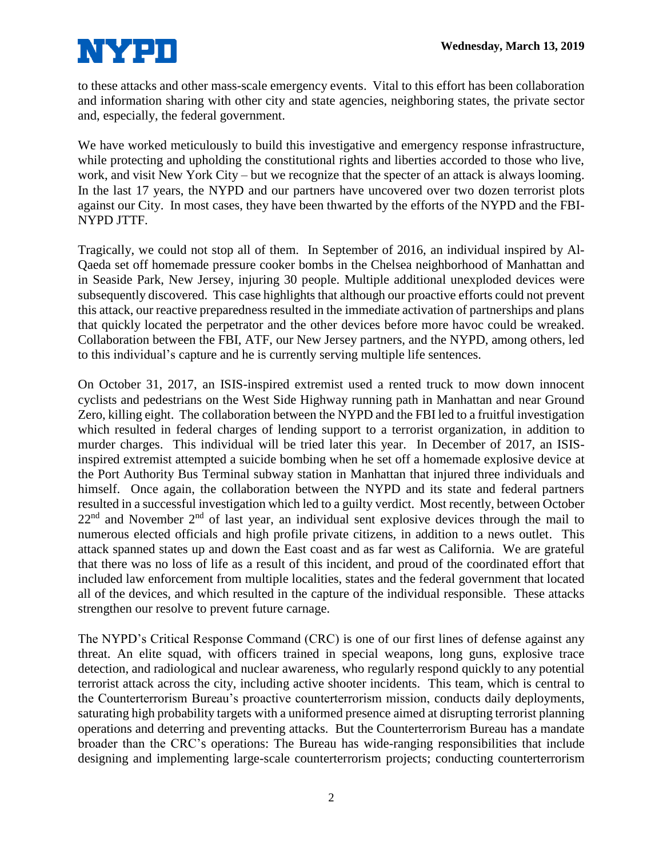

to these attacks and other mass-scale emergency events. Vital to this effort has been collaboration and information sharing with other city and state agencies, neighboring states, the private sector and, especially, the federal government.

We have worked meticulously to build this investigative and emergency response infrastructure, while protecting and upholding the constitutional rights and liberties accorded to those who live, work, and visit New York City – but we recognize that the specter of an attack is always looming. In the last 17 years, the NYPD and our partners have uncovered over two dozen terrorist plots against our City. In most cases, they have been thwarted by the efforts of the NYPD and the FBI-NYPD JTTF.

Tragically, we could not stop all of them. In September of 2016, an individual inspired by Al-Qaeda set off homemade pressure cooker bombs in the Chelsea neighborhood of Manhattan and in Seaside Park, New Jersey, injuring 30 people. Multiple additional unexploded devices were subsequently discovered. This case highlights that although our proactive efforts could not prevent this attack, our reactive preparedness resulted in the immediate activation of partnerships and plans that quickly located the perpetrator and the other devices before more havoc could be wreaked. Collaboration between the FBI, ATF, our New Jersey partners, and the NYPD, among others, led to this individual's capture and he is currently serving multiple life sentences.

On October 31, 2017, an ISIS-inspired extremist used a rented truck to mow down innocent cyclists and pedestrians on the West Side Highway running path in Manhattan and near Ground Zero, killing eight. The collaboration between the NYPD and the FBI led to a fruitful investigation which resulted in federal charges of lending support to a terrorist organization, in addition to murder charges. This individual will be tried later this year. In December of 2017, an ISISinspired extremist attempted a suicide bombing when he set off a homemade explosive device at the Port Authority Bus Terminal subway station in Manhattan that injured three individuals and himself. Once again, the collaboration between the NYPD and its state and federal partners resulted in a successful investigation which led to a guilty verdict. Most recently, between October  $22<sup>nd</sup>$  and November  $2<sup>nd</sup>$  of last year, an individual sent explosive devices through the mail to numerous elected officials and high profile private citizens, in addition to a news outlet. This attack spanned states up and down the East coast and as far west as California. We are grateful that there was no loss of life as a result of this incident, and proud of the coordinated effort that included law enforcement from multiple localities, states and the federal government that located all of the devices, and which resulted in the capture of the individual responsible. These attacks strengthen our resolve to prevent future carnage.

The NYPD's Critical Response Command (CRC) is one of our first lines of defense against any threat. An elite squad, with officers trained in special weapons, long guns, explosive trace detection, and radiological and nuclear awareness, who regularly respond quickly to any potential terrorist attack across the city, including active shooter incidents. This team, which is central to the Counterterrorism Bureau's proactive counterterrorism mission, conducts daily deployments, saturating high probability targets with a uniformed presence aimed at disrupting terrorist planning operations and deterring and preventing attacks. But the Counterterrorism Bureau has a mandate broader than the CRC's operations: The Bureau has wide-ranging responsibilities that include designing and implementing large-scale counterterrorism projects; conducting counterterrorism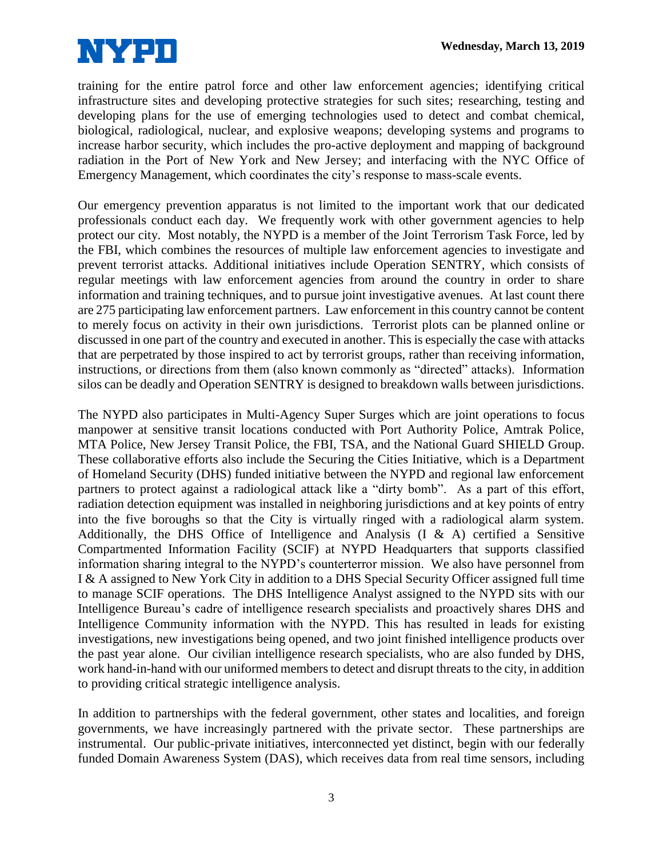

training for the entire patrol force and other law enforcement agencies; identifying critical infrastructure sites and developing protective strategies for such sites; researching, testing and developing plans for the use of emerging technologies used to detect and combat chemical, biological, radiological, nuclear, and explosive weapons; developing systems and programs to increase harbor security, which includes the pro-active deployment and mapping of background radiation in the Port of New York and New Jersey; and interfacing with the NYC Office of Emergency Management, which coordinates the city's response to mass-scale events.

Our emergency prevention apparatus is not limited to the important work that our dedicated professionals conduct each day. We frequently work with other government agencies to help protect our city. Most notably, the NYPD is a member of the Joint Terrorism Task Force, led by the FBI, which combines the resources of multiple law enforcement agencies to investigate and prevent terrorist attacks. Additional initiatives include Operation SENTRY, which consists of regular meetings with law enforcement agencies from around the country in order to share information and training techniques, and to pursue joint investigative avenues. At last count there are 275 participating law enforcement partners. Law enforcement in this country cannot be content to merely focus on activity in their own jurisdictions. Terrorist plots can be planned online or discussed in one part of the country and executed in another. This is especially the case with attacks that are perpetrated by those inspired to act by terrorist groups, rather than receiving information, instructions, or directions from them (also known commonly as "directed" attacks). Information silos can be deadly and Operation SENTRY is designed to breakdown walls between jurisdictions.

The NYPD also participates in Multi-Agency Super Surges which are joint operations to focus manpower at sensitive transit locations conducted with Port Authority Police, Amtrak Police, MTA Police, New Jersey Transit Police, the FBI, TSA, and the National Guard SHIELD Group. These collaborative efforts also include the Securing the Cities Initiative, which is a Department of Homeland Security (DHS) funded initiative between the NYPD and regional law enforcement partners to protect against a radiological attack like a "dirty bomb". As a part of this effort, radiation detection equipment was installed in neighboring jurisdictions and at key points of entry into the five boroughs so that the City is virtually ringed with a radiological alarm system. Additionally, the DHS Office of Intelligence and Analysis  $(I \& A)$  certified a Sensitive Compartmented Information Facility (SCIF) at NYPD Headquarters that supports classified information sharing integral to the NYPD's counterterror mission. We also have personnel from I & A assigned to New York City in addition to a DHS Special Security Officer assigned full time to manage SCIF operations. The DHS Intelligence Analyst assigned to the NYPD sits with our Intelligence Bureau's cadre of intelligence research specialists and proactively shares DHS and Intelligence Community information with the NYPD. This has resulted in leads for existing investigations, new investigations being opened, and two joint finished intelligence products over the past year alone. Our civilian intelligence research specialists, who are also funded by DHS, work hand-in-hand with our uniformed members to detect and disrupt threats to the city, in addition to providing critical strategic intelligence analysis.

In addition to partnerships with the federal government, other states and localities, and foreign governments, we have increasingly partnered with the private sector. These partnerships are instrumental. Our public-private initiatives, interconnected yet distinct, begin with our federally funded Domain Awareness System (DAS), which receives data from real time sensors, including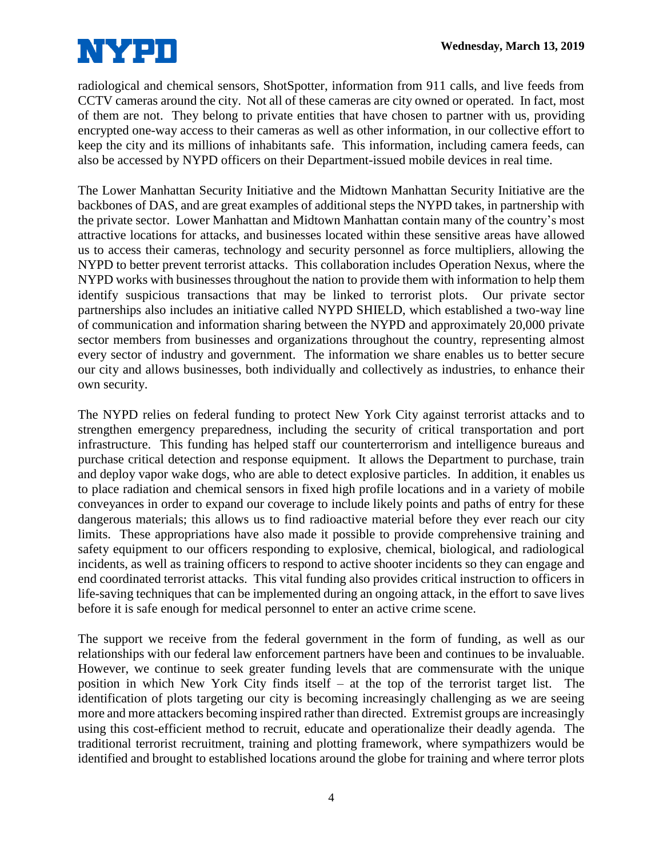

radiological and chemical sensors, ShotSpotter, information from 911 calls, and live feeds from CCTV cameras around the city. Not all of these cameras are city owned or operated. In fact, most of them are not. They belong to private entities that have chosen to partner with us, providing encrypted one-way access to their cameras as well as other information, in our collective effort to keep the city and its millions of inhabitants safe. This information, including camera feeds, can also be accessed by NYPD officers on their Department-issued mobile devices in real time.

The Lower Manhattan Security Initiative and the Midtown Manhattan Security Initiative are the backbones of DAS, and are great examples of additional steps the NYPD takes, in partnership with the private sector. Lower Manhattan and Midtown Manhattan contain many of the country's most attractive locations for attacks, and businesses located within these sensitive areas have allowed us to access their cameras, technology and security personnel as force multipliers, allowing the NYPD to better prevent terrorist attacks. This collaboration includes Operation Nexus, where the NYPD works with businesses throughout the nation to provide them with information to help them identify suspicious transactions that may be linked to terrorist plots. Our private sector partnerships also includes an initiative called NYPD SHIELD, which established a two-way line of communication and information sharing between the NYPD and approximately 20,000 private sector members from businesses and organizations throughout the country, representing almost every sector of industry and government. The information we share enables us to better secure our city and allows businesses, both individually and collectively as industries, to enhance their own security.

The NYPD relies on federal funding to protect New York City against terrorist attacks and to strengthen emergency preparedness, including the security of critical transportation and port infrastructure. This funding has helped staff our counterterrorism and intelligence bureaus and purchase critical detection and response equipment. It allows the Department to purchase, train and deploy vapor wake dogs, who are able to detect explosive particles. In addition, it enables us to place radiation and chemical sensors in fixed high profile locations and in a variety of mobile conveyances in order to expand our coverage to include likely points and paths of entry for these dangerous materials; this allows us to find radioactive material before they ever reach our city limits. These appropriations have also made it possible to provide comprehensive training and safety equipment to our officers responding to explosive, chemical, biological, and radiological incidents, as well as training officers to respond to active shooter incidents so they can engage and end coordinated terrorist attacks. This vital funding also provides critical instruction to officers in life-saving techniques that can be implemented during an ongoing attack, in the effort to save lives before it is safe enough for medical personnel to enter an active crime scene.

The support we receive from the federal government in the form of funding, as well as our relationships with our federal law enforcement partners have been and continues to be invaluable. However, we continue to seek greater funding levels that are commensurate with the unique position in which New York City finds itself – at the top of the terrorist target list. The identification of plots targeting our city is becoming increasingly challenging as we are seeing more and more attackers becoming inspired rather than directed. Extremist groups are increasingly using this cost-efficient method to recruit, educate and operationalize their deadly agenda. The traditional terrorist recruitment, training and plotting framework, where sympathizers would be identified and brought to established locations around the globe for training and where terror plots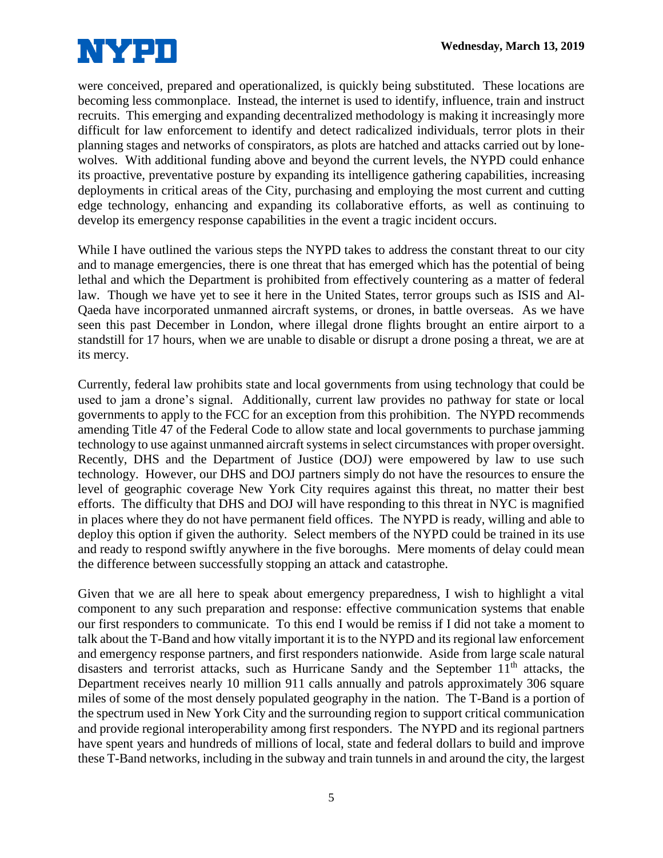

were conceived, prepared and operationalized, is quickly being substituted. These locations are becoming less commonplace. Instead, the internet is used to identify, influence, train and instruct recruits. This emerging and expanding decentralized methodology is making it increasingly more difficult for law enforcement to identify and detect radicalized individuals, terror plots in their planning stages and networks of conspirators, as plots are hatched and attacks carried out by lonewolves. With additional funding above and beyond the current levels, the NYPD could enhance its proactive, preventative posture by expanding its intelligence gathering capabilities, increasing deployments in critical areas of the City, purchasing and employing the most current and cutting edge technology, enhancing and expanding its collaborative efforts, as well as continuing to develop its emergency response capabilities in the event a tragic incident occurs.

While I have outlined the various steps the NYPD takes to address the constant threat to our city and to manage emergencies, there is one threat that has emerged which has the potential of being lethal and which the Department is prohibited from effectively countering as a matter of federal law. Though we have yet to see it here in the United States, terror groups such as ISIS and Al-Qaeda have incorporated unmanned aircraft systems, or drones, in battle overseas. As we have seen this past December in London, where illegal drone flights brought an entire airport to a standstill for 17 hours, when we are unable to disable or disrupt a drone posing a threat, we are at its mercy.

Currently, federal law prohibits state and local governments from using technology that could be used to jam a drone's signal. Additionally, current law provides no pathway for state or local governments to apply to the FCC for an exception from this prohibition. The NYPD recommends amending Title 47 of the Federal Code to allow state and local governments to purchase jamming technology to use against unmanned aircraft systems in select circumstances with proper oversight. Recently, DHS and the Department of Justice (DOJ) were empowered by law to use such technology. However, our DHS and DOJ partners simply do not have the resources to ensure the level of geographic coverage New York City requires against this threat, no matter their best efforts. The difficulty that DHS and DOJ will have responding to this threat in NYC is magnified in places where they do not have permanent field offices. The NYPD is ready, willing and able to deploy this option if given the authority. Select members of the NYPD could be trained in its use and ready to respond swiftly anywhere in the five boroughs. Mere moments of delay could mean the difference between successfully stopping an attack and catastrophe.

Given that we are all here to speak about emergency preparedness, I wish to highlight a vital component to any such preparation and response: effective communication systems that enable our first responders to communicate. To this end I would be remiss if I did not take a moment to talk about the T-Band and how vitally important it is to the NYPD and its regional law enforcement and emergency response partners, and first responders nationwide. Aside from large scale natural disasters and terrorist attacks, such as Hurricane Sandy and the September  $11<sup>th</sup>$  attacks, the Department receives nearly 10 million 911 calls annually and patrols approximately 306 square miles of some of the most densely populated geography in the nation. The T-Band is a portion of the spectrum used in New York City and the surrounding region to support critical communication and provide regional interoperability among first responders. The NYPD and its regional partners have spent years and hundreds of millions of local, state and federal dollars to build and improve these T-Band networks, including in the subway and train tunnels in and around the city, the largest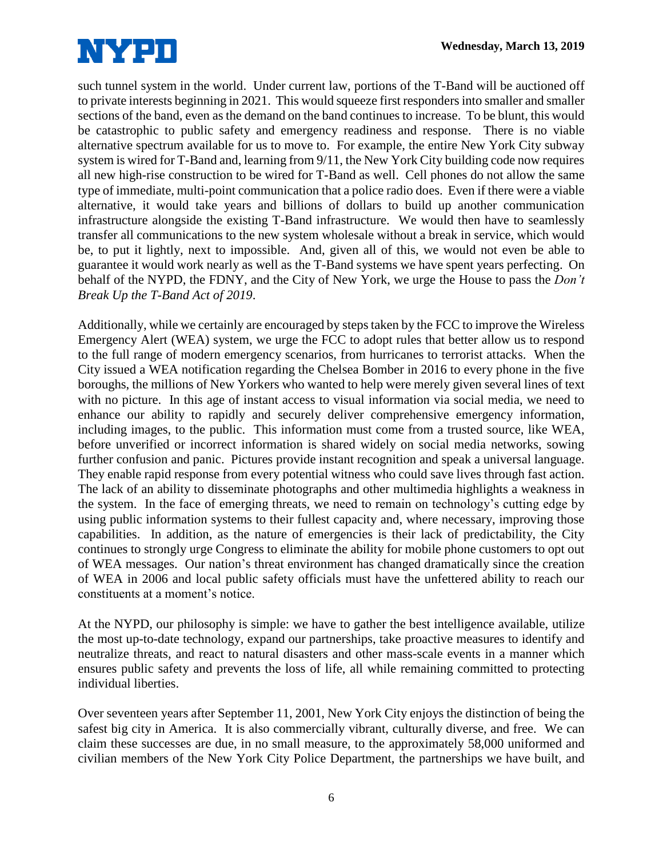

such tunnel system in the world. Under current law, portions of the T-Band will be auctioned off to private interests beginning in 2021. This would squeeze first responders into smaller and smaller sections of the band, even as the demand on the band continues to increase. To be blunt, this would be catastrophic to public safety and emergency readiness and response. There is no viable alternative spectrum available for us to move to. For example, the entire New York City subway system is wired for T-Band and, learning from 9/11, the New York City building code now requires all new high-rise construction to be wired for T-Band as well. Cell phones do not allow the same type of immediate, multi-point communication that a police radio does. Even if there were a viable alternative, it would take years and billions of dollars to build up another communication infrastructure alongside the existing T-Band infrastructure. We would then have to seamlessly transfer all communications to the new system wholesale without a break in service, which would be, to put it lightly, next to impossible. And, given all of this, we would not even be able to guarantee it would work nearly as well as the T-Band systems we have spent years perfecting. On behalf of the NYPD, the FDNY, and the City of New York, we urge the House to pass the *Don't Break Up the T-Band Act of 2019*.

Additionally, while we certainly are encouraged by steps taken by the FCC to improve the Wireless Emergency Alert (WEA) system, we urge the FCC to adopt rules that better allow us to respond to the full range of modern emergency scenarios, from hurricanes to terrorist attacks. When the City issued a WEA notification regarding the Chelsea Bomber in 2016 to every phone in the five boroughs, the millions of New Yorkers who wanted to help were merely given several lines of text with no picture. In this age of instant access to visual information via social media, we need to enhance our ability to rapidly and securely deliver comprehensive emergency information, including images, to the public. This information must come from a trusted source, like WEA, before unverified or incorrect information is shared widely on social media networks, sowing further confusion and panic. Pictures provide instant recognition and speak a universal language. They enable rapid response from every potential witness who could save lives through fast action. The lack of an ability to disseminate photographs and other multimedia highlights a weakness in the system. In the face of emerging threats, we need to remain on technology's cutting edge by using public information systems to their fullest capacity and, where necessary, improving those capabilities. In addition, as the nature of emergencies is their lack of predictability, the City continues to strongly urge Congress to eliminate the ability for mobile phone customers to opt out of WEA messages. Our nation's threat environment has changed dramatically since the creation of WEA in 2006 and local public safety officials must have the unfettered ability to reach our constituents at a moment's notice.

At the NYPD, our philosophy is simple: we have to gather the best intelligence available, utilize the most up-to-date technology, expand our partnerships, take proactive measures to identify and neutralize threats, and react to natural disasters and other mass-scale events in a manner which ensures public safety and prevents the loss of life, all while remaining committed to protecting individual liberties.

Over seventeen years after September 11, 2001, New York City enjoys the distinction of being the safest big city in America. It is also commercially vibrant, culturally diverse, and free. We can claim these successes are due, in no small measure, to the approximately 58,000 uniformed and civilian members of the New York City Police Department, the partnerships we have built, and